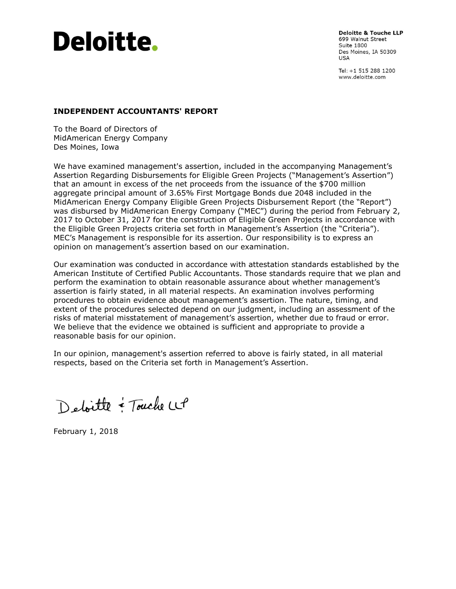

**Deloitte & Touche LLP** 699 Walnut Street **Suite 1800** Des Moines, IA 50309 **USA** 

Tel: +1 515 288 1200 www.deloitte.com

#### INDEPENDENT ACCOUNTANTS' REPORT

To the Board of Directors of MidAmerican Energy Company Des Moines, Iowa

We have examined management's assertion, included in the accompanying Management's Assertion Regarding Disbursements for Eligible Green Projects ("Management's Assertion") that an amount in excess of the net proceeds from the issuance of the \$700 million aggregate principal amount of 3.65% First Mortgage Bonds due 2048 included in the MidAmerican Energy Company Eligible Green Projects Disbursement Report (the "Report") was disbursed by MidAmerican Energy Company ("MEC") during the period from February 2, 2017 to October 31, 2017 for the construction of Eligible Green Projects in accordance with the Eligible Green Projects criteria set forth in Management's Assertion (the "Criteria"). MEC's Management is responsible for its assertion. Our responsibility is to express an opinion on management's assertion based on our examination.

Our examination was conducted in accordance with attestation standards established by the American Institute of Certified Public Accountants. Those standards require that we plan and perform the examination to obtain reasonable assurance about whether management's assertion is fairly stated, in all material respects. An examination involves performing procedures to obtain evidence about management's assertion. The nature, timing, and extent of the procedures selected depend on our judgment, including an assessment of the risks of material misstatement of management's assertion, whether due to fraud or error. We believe that the evidence we obtained is sufficient and appropriate to provide a reasonable basis for our opinion.

In our opinion, management's assertion referred to above is fairly stated, in all material respects, based on the Criteria set forth in Management's Assertion.

Detoille = Touche LLP

February 1, 2018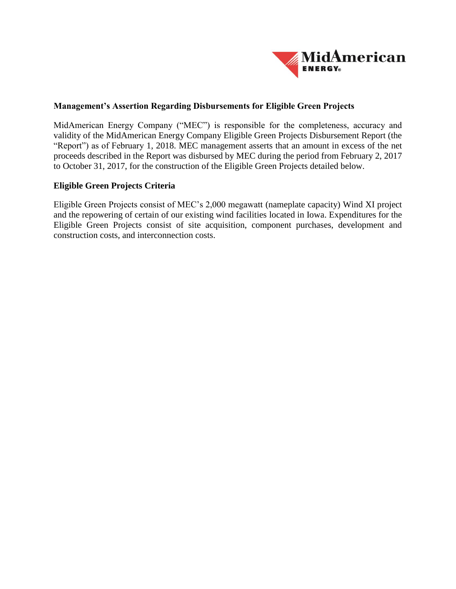

## **Management's Assertion Regarding Disbursements for Eligible Green Projects**

MidAmerican Energy Company ("MEC") is responsible for the completeness, accuracy and validity of the MidAmerican Energy Company Eligible Green Projects Disbursement Report (the "Report") as of February 1, 2018. MEC management asserts that an amount in excess of the net proceeds described in the Report was disbursed by MEC during the period from February 2, 2017 to October 31, 2017, for the construction of the Eligible Green Projects detailed below.

## **Eligible Green Projects Criteria**

Eligible Green Projects consist of MEC's 2,000 megawatt (nameplate capacity) Wind XI project and the repowering of certain of our existing wind facilities located in Iowa. Expenditures for the Eligible Green Projects consist of site acquisition, component purchases, development and construction costs, and interconnection costs.